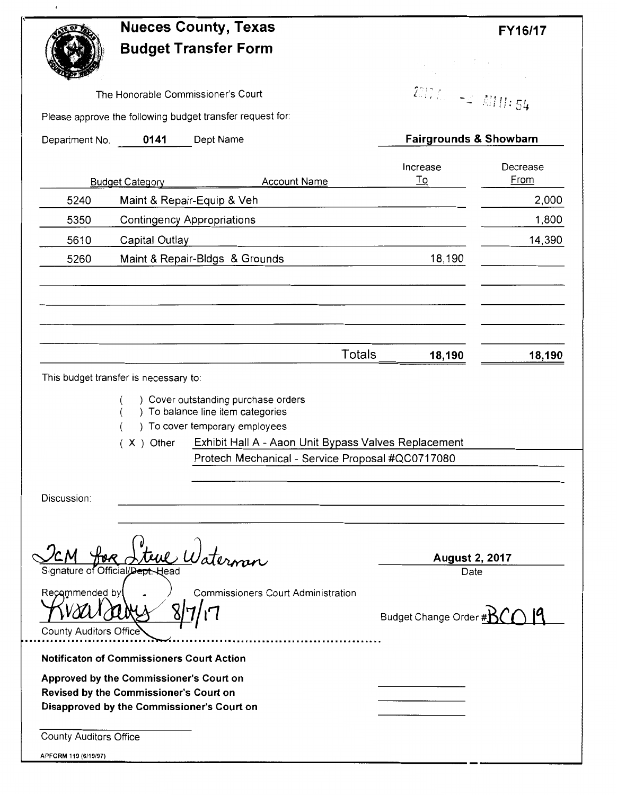|                                                                                   | <b>Nueces County, Texas</b>      |                                                                                                                                                                                                                      |        |                                       | FY16/17          |  |  |
|-----------------------------------------------------------------------------------|----------------------------------|----------------------------------------------------------------------------------------------------------------------------------------------------------------------------------------------------------------------|--------|---------------------------------------|------------------|--|--|
|                                                                                   |                                  | <b>Budget Transfer Form</b>                                                                                                                                                                                          |        | 医异常性 电电子电压                            |                  |  |  |
|                                                                                   |                                  |                                                                                                                                                                                                                      |        |                                       |                  |  |  |
| The Honorable Commissioner's Court                                                |                                  |                                                                                                                                                                                                                      |        | $2217L \rightarrow 2$ $MII:54$        |                  |  |  |
|                                                                                   |                                  | Please approve the following budget transfer request for:                                                                                                                                                            |        |                                       |                  |  |  |
| Department No. 0141                                                               |                                  | Dept Name                                                                                                                                                                                                            |        | <b>Fairgrounds &amp; Showbarn</b>     |                  |  |  |
|                                                                                   | <b>Budget Category</b>           | <b>Account Name</b>                                                                                                                                                                                                  |        | Increase<br>$\underline{\mathsf{To}}$ | Decrease<br>From |  |  |
| 5240                                                                              |                                  | Maint & Repair-Equip & Veh                                                                                                                                                                                           |        |                                       | 2,000            |  |  |
| 5350                                                                              |                                  | <b>Contingency Appropriations</b>                                                                                                                                                                                    |        |                                       | 1,800            |  |  |
| 5610                                                                              | Capital Outlay                   |                                                                                                                                                                                                                      |        |                                       | 14,390           |  |  |
| 5260                                                                              |                                  | Maint & Repair-Bldgs & Grounds                                                                                                                                                                                       |        | 18,190                                |                  |  |  |
|                                                                                   |                                  |                                                                                                                                                                                                                      |        |                                       |                  |  |  |
|                                                                                   |                                  |                                                                                                                                                                                                                      |        |                                       |                  |  |  |
|                                                                                   |                                  |                                                                                                                                                                                                                      |        |                                       |                  |  |  |
|                                                                                   |                                  |                                                                                                                                                                                                                      |        |                                       |                  |  |  |
|                                                                                   |                                  |                                                                                                                                                                                                                      | Totals | 18,190                                | 18,190           |  |  |
| This budget transfer is necessary to:                                             |                                  |                                                                                                                                                                                                                      |        |                                       |                  |  |  |
|                                                                                   | $(X)$ Other                      | ) Cover outstanding purchase orders<br>) To balance line item categories<br>To cover temporary employees<br>Exhibit Hall A - Aaon Unit Bypass Valves Replacement<br>Protech Mechanical - Service Proposal #QC0717080 |        |                                       |                  |  |  |
| Discussion:                                                                       |                                  |                                                                                                                                                                                                                      |        |                                       |                  |  |  |
|                                                                                   |                                  |                                                                                                                                                                                                                      |        |                                       |                  |  |  |
|                                                                                   | Signature of Official/Dept. Head | <b>August 2, 2017</b><br>Date                                                                                                                                                                                        |        |                                       |                  |  |  |
| Recommended by                                                                    |                                  | <b>Commissioners Court Administration</b>                                                                                                                                                                            |        | Budget Change Order #B                |                  |  |  |
| County Auditors Office                                                            |                                  |                                                                                                                                                                                                                      |        |                                       |                  |  |  |
| Notificaton of Commissioners Court Action                                         |                                  |                                                                                                                                                                                                                      |        |                                       |                  |  |  |
| Approved by the Commissioner's Court on<br>Revised by the Commissioner's Court on |                                  | Disapproved by the Commissioner's Court on                                                                                                                                                                           |        |                                       |                  |  |  |
| <b>County Auditors Office</b>                                                     |                                  |                                                                                                                                                                                                                      |        |                                       |                  |  |  |
| APFORM 119 (6/19/97)                                                              |                                  |                                                                                                                                                                                                                      |        |                                       |                  |  |  |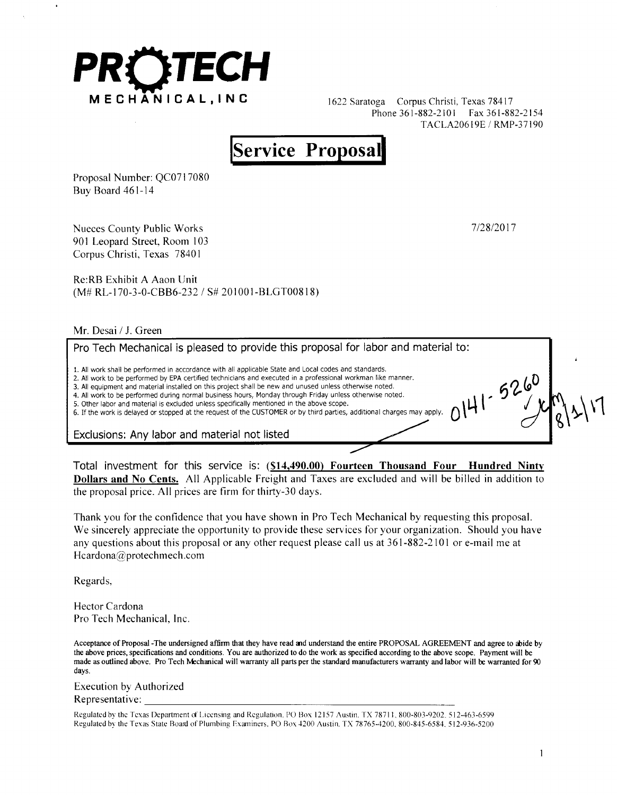

Phone 361-882-2101 Fax 361-882-2154 TACLA20619E / RMP-37190



Proposal Number: QC0717080 Buy Board 461-14

Nueces County Public Works 901 Leopard Street, Room 103 Corpus Christi, Texas 78401

Re:RB Exhibit A Aaon Unit (M# RL-170-3-0-CBB6-232 / S# 201001-BLGT00818)

Mr. Desai / J. Green

Pro Tech Mechanical is pleased to provide this proposal for labor and material to:

1. All work shall be performed in accordance with all applicable State and Local codes and standards.

2. All work to be performed by EPA certified technicians and executed in a professional workman like manner.

3. All equipment and material installed on this project shall be new and unused unless otherwise noted. 4. All work to be performed during normal business hours, Monday through Friday unless otherwise noted.

5. Other labor and material is excluded unless specifically mentioned in the above scope.

6. If the work is delayed or stopped at the request of the CUSTOMER or by third parties, additional charges may apply.

Exclusions: Any labor and material not listed

Total investment for this service is: **(\$14,490.00) Fourteen Thousand Four Hundred Ninty Dollars and No Cents.** All Applicable Freight and Taxes are excluded and will be billed in addition to the proposal price. All prices are firm for thirty-30 days.

Thank you for the confidence that you have shown in Pro Tech Mechanical by requesting this proposal. We sincerely appreciate the opportunity to provide these services for your organization. Should you have any questions about this proposal or any other request please call us at 361-882-2101 or e-mail me at Hcardona@protechmech.com

Regards,

Hector Cardona Pro Tech Mechanical, Inc.

Acceptance of Proposal-The undersigned affirm that they have read and understand the entire PROPOSAL AGREEMENT and agree to abide by the above prices, specifications and conditions. You are authorized to do the work as specified according to the above scope. Payment will be made as outlined above. Pro Tech Mechanical will warranty all parts per the standard manufacturers warranty and labor will be warranted for 90 days.

Execution by Authorized

Representative: ---------------------------- Regula t c d by the Texas Department cf Licensing and Regulation. PO Hox 12157 /\ustin. TX 78711. 800-803-9202. 512-463-6599 Regulated by the Texas State Board of Plumbing Examiners. PO Box 4200 Austin. TX 78765-4200, 800-845-6584, 512-936-5200

7/28/2017

 $11 - 5260$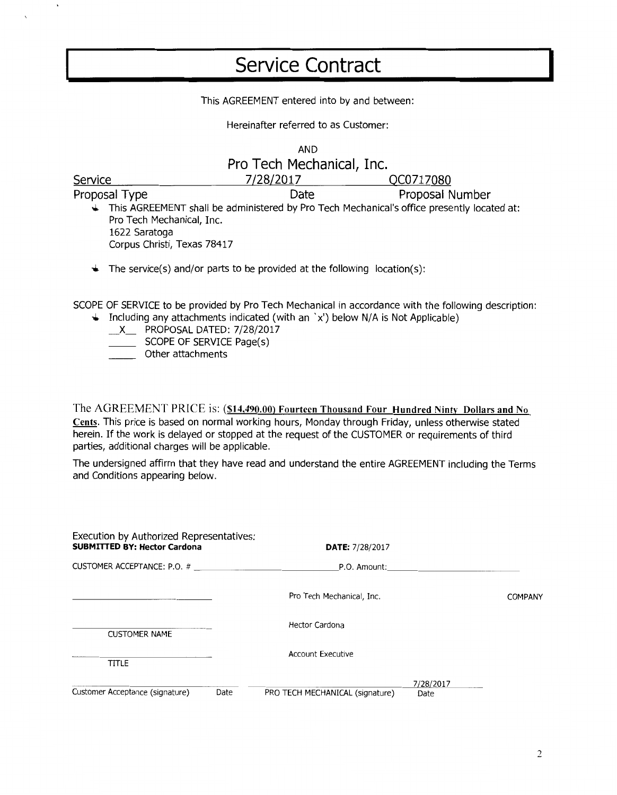## Service Contract

This AGREEMENT entered into by and between:

Hereinafter referred to as Customer:

**AND**  Pro Tech Mechanical, Inc.

| Service                     | 7/28/2017 | QC0717080                                                                                  |
|-----------------------------|-----------|--------------------------------------------------------------------------------------------|
| Proposal Type               | Date      | Proposal Number                                                                            |
|                             |           | This AGREEMENT shall be administered by Pro Tech Mechanical's office presently located at: |
| Pro Tech Mechanical, Inc.   |           |                                                                                            |
| 1622 Saratoga               |           |                                                                                            |
| Corpus Christi, Texas 78417 |           |                                                                                            |
|                             |           |                                                                                            |

 $\bigstar$  The service(s) and/or parts to be provided at the following location(s):

SCOPE OF SERVICE to be provided by Pro Tech Mechanical in accordance with the following description:

- $\downarrow$  Including any attachments indicated (with an  $\dot{x}$ ) below N/A is Not Applicable)
	- \_X\_ PROPOSAL DATED: 7/28/2017
		- SCOPE OF SERVICE Page(s)
	- Other attachments

 $\cdot$ 

The AGREEMENT PRICE is: **(\$14,490.00) Fourteen Thousand Four Hundred Ninty Dollars and No Cents.** This price is based on normal working hours, Monday through Friday, unless otherwise stated herein. If the work is delayed or stopped at the request of the CUSTOMER or requirements of third parties, additional charges will be applicable.

The undersigned affirm that they have read and understand the entire AGREEMENT including the Terms and Conditions appearing below.

| Execution by Authorized Representatives:<br><b>SUBMITTED BY: Hector Cardona</b> | <b>DATE: 7/28/2017</b>          |                   |                |
|---------------------------------------------------------------------------------|---------------------------------|-------------------|----------------|
|                                                                                 | P.O. Amount:                    |                   |                |
|                                                                                 | Pro Tech Mechanical, Inc.       |                   | <b>COMPANY</b> |
| <b>CUSTOMER NAME</b>                                                            | Hector Cardona                  |                   |                |
| <b>TITLE</b>                                                                    | Account Executive               |                   |                |
| Customer Acceptance (signature)<br>Date                                         | PRO TECH MECHANICAL (signature) | 7/28/2017<br>Date |                |

I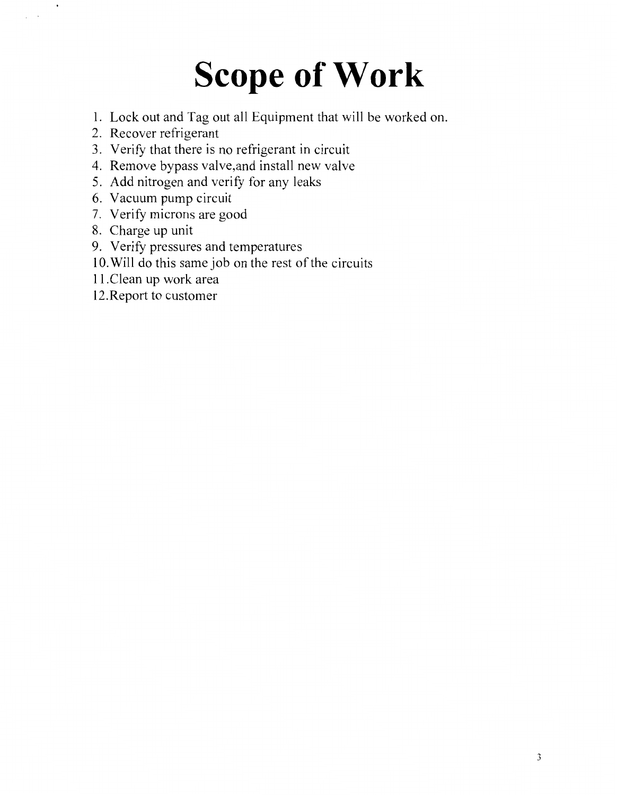## **Scope of Work**

- 1. Lock out and Tag out all Equipment that will be worked on.
- 2. Recover refrigerant

 $\cdot$ 

 $\bar{\mathcal{A}}$ 

- 3. Verify that there is no refrigerant in circuit
- 4. Remove bypass valve,and install new valve
- 5. Add nitrogen and verify for any leaks
- 6. Vacuum pump circuit
- 7. Verify microns are good
- 8. Charge up unit
- 9. Verify pressures and temperatures
- 10. Will do this same job on the rest of the circuits
- 11.Clean up work area
- 12.Report to customer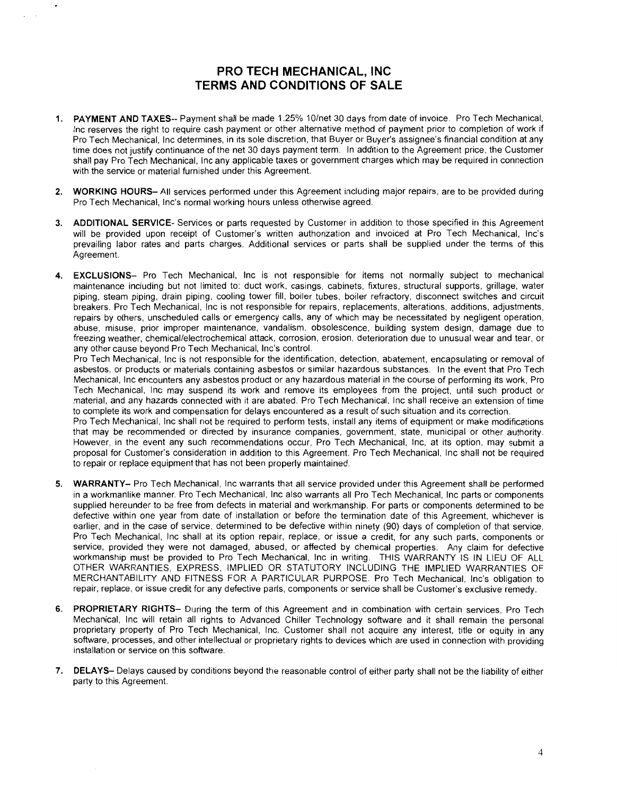## **PRO TECH MECHANICAL, INC TERMS AND CONDITIONS OF SALE**

- **1. PAYMENT AND TAXES--** Payment shall be made 1.25% 10/net 30 days from date of invoice. Pro Tech Mechanical, Inc reserves the right to require cash payment or other alternative method of payment prior to completion of work if Pro Tech Mechanical, Inc determines, in its sole discretion, that Buyer or Buyer's assignee's financial condition at any time does not justify continuance of the net 30 days payment term. In addition to the Agreement price, the Customer shall pay Pro Tech Mechanical, Inc any applicable taxes or government charges which may be required in connection with the service or material furnished under this Agreement.
- **2. WORKING HOURS-** All services performed under this Agreement including major repairs, are to be provided during Pro Tech Mechanical, Inc's normal working hours unless otherwise agreed.
- **3. ADDITIONAL SERVICE-** Services or parts requested by Customer in addition to those specified in this Agreement will be provided upon receipt of Customer's written authorization and invoiced at Pro Tech Mechanical, Inc's prevailing labor rates and parts charges. Additional services or parts shall be supplied under the terms of this Agreement.
- **4. EXCLUSIONS-** Pro Tech Mechanical, Inc is not responsible for items not normally subject to mechanical maintenance including but not limited to: duct work, casings, cabinets, fixtures, structural supports, grillage, water piping, steam piping, drain piping, cooling tower fill, boiler tubes, boiler refractory, disconnect switches and circuit breakers. Pro Tech Mechanical, Inc is not responsible for repairs, replacements, alterations, additions, adjustments, repairs by others, unscheduled calls or emergency calls, any of which may be necessitated by negligent operation, abuse, misuse, prior improper maintenance, vandalism, obsolescence, building system design, damage due to freezing weather, chemical/electrochemical attack, corrosion, erosion, deterioration due to unusual wear and tear, or any other cause beyond Pro Tech Mechanical, Inc's control.

Pro Tech Mechanical, Inc is not responsible for the identification, detection, abatement, encapsulating or removal of asbestos, or products or materials containing asbestos or similar hazardous substances. In the event that Pro Tech Mechanical, Inc encounters any asbestos product or any hazardous material in the course of performing its work, Pro Tech Mechanical, Inc may suspend its work and remove its employees from the project, until such product or material, and any hazards connected with it are abated. Pro Tech Mechanical, Inc shall receive an extension of time to complete its work and compensation for delays encountered as a result of such situation and its correction.

Pro Tech Mechanical, Inc shall not be required to perform tests, install any items of equipment or make modifications that may be recommended or directed by insurance companies, government, state, municipal or other authority. However, in the event any such recommendations occur, Pro Tech Mechanical, Inc, at its option, may submit a proposal for Customer's consideration in addition to this Agreement. Pro Tech Mechanical, Inc shall not be required to repair or replace equipment that has not been properly maintained.

- **5. WARRANTY-** Pro Tech Mechanical, Inc warrants that all service provided under this Agreement shall be performed in a workmanlike manner. Pro Tech Mechanical, Inc also warrants all Pro Tech Mechanical, Inc parts or components supplied hereunder to be free from defects in material and workmanship. For parts or components determined to be defective within one year from date of installation or before the termination date of this Agreement, whichever is earlier, and in the case of service, determined to be defective within ninety (90) days of completion of that service, Pro Tech Mechanical, Inc shall at its option repair, replace, or issue a credit, for any such parts, components or service, provided they were not damaged, abused, or affected by chemical properties. Any claim for defective workmanship must be provided to Pro Tech Mechanical, Inc in writing. THIS WARRANTY IS IN LIEU OF ALL OTHER WARRANTIES, EXPRESS, IMPLIED OR STATUTORY INCLUDING THE IMPLIED WARRANTIES OF MERCHANTABILITY AND FITNESS FOR A PARTICULAR PURPOSE. Pro Tech Mechanical, Inc's obligation to repair, replace, or issue credit for any defective parts, components or service shall be Customer's exclusive remedy.
- **6. PROPRIETARY RIGHTS-** During the term of this Agreement and in combination with certain services, Pro Tech Mechanical, Inc will retain all rights to Advanced Chiller Technology software and it shall remain the personal proprietary property of Pro Tech Mechanical, Inc. Customer shall not acquire any interest, title or equity in any software, processes, and other intellectual or proprietary rights to devices which are used in connection with providing installation or service on this software.
- **7. DELAYS-** Delays caused by conditions beyond the reasonable control of either party shall not be the liability of either party to this Agreement.